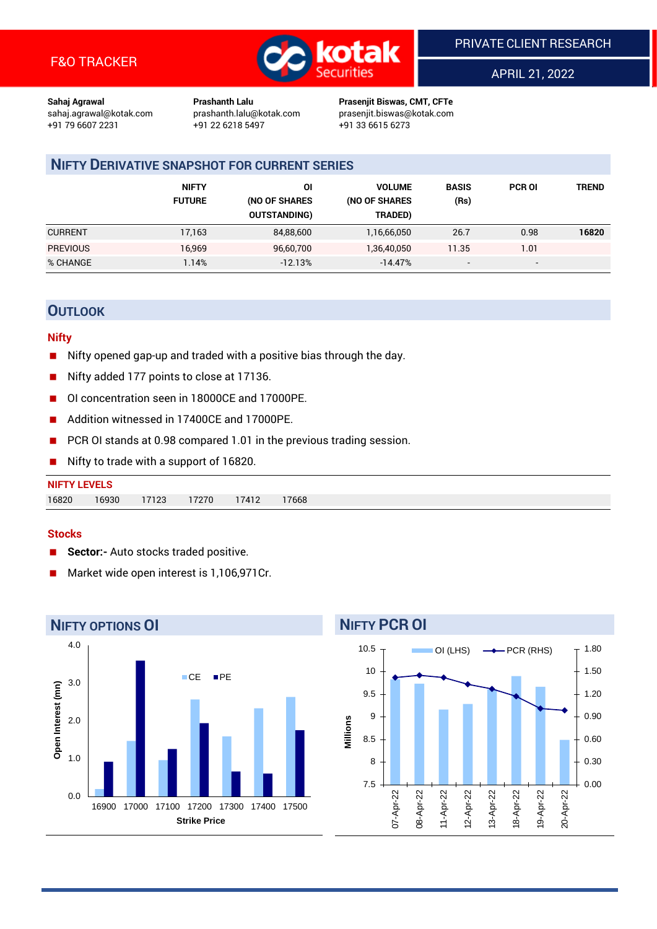

APRIL 21, 2022

**Sahaj Agrawal Prashanth Lalu Prasenjit Biswas, CMT, CFTe** +91 22 6218 5497 +91 33 6615 6273

sahaj.agrawal@kotak.com [prashanth.lalu@kotak.com](mailto:prashanth.lalu@kotak.com) prasenjit.biswas@kotak.com

## **NIFTY DERIVATIVE SNAPSHOT FOR CURRENT SERIES**

|                 | <b>NIFTY</b><br><b>FUTURE</b> | ΟI<br>(NO OF SHARES<br><b>OUTSTANDING)</b> | <b>VOLUME</b><br>(NO OF SHARES<br>TRADED) | <b>BASIS</b><br>(Rs)     | <b>PCR OI</b>            | TREND |
|-----------------|-------------------------------|--------------------------------------------|-------------------------------------------|--------------------------|--------------------------|-------|
| <b>CURRENT</b>  | 17,163                        | 84,88,600                                  | 1,16,66,050                               | 26.7                     | 0.98                     | 16820 |
| <b>PREVIOUS</b> | 16,969                        | 96,60,700                                  | 1,36,40,050                               | 11.35                    | 1.01                     |       |
| % CHANGE        | l.14%                         | $-12.13%$                                  | $-14.47%$                                 | $\overline{\phantom{a}}$ | $\overline{\phantom{0}}$ |       |

## **OUTLOOK**

#### **Nifty**

- Nifty opened gap-up and traded with a positive bias through the day.
- Nifty added 177 points to close at 17136.
- OI concentration seen in 18000CE and 17000PE.
- Addition witnessed in 17400CE and 17000PE.
- PCR OI stands at 0.98 compared 1.01 in the previous trading session.
- Nifty to trade with a support of 16820.

#### **Stocks**

- **Sector:-** Auto stocks traded positive.
- Market wide open interest is 1,106,971Cr.



## **NIFTY PCR OI**

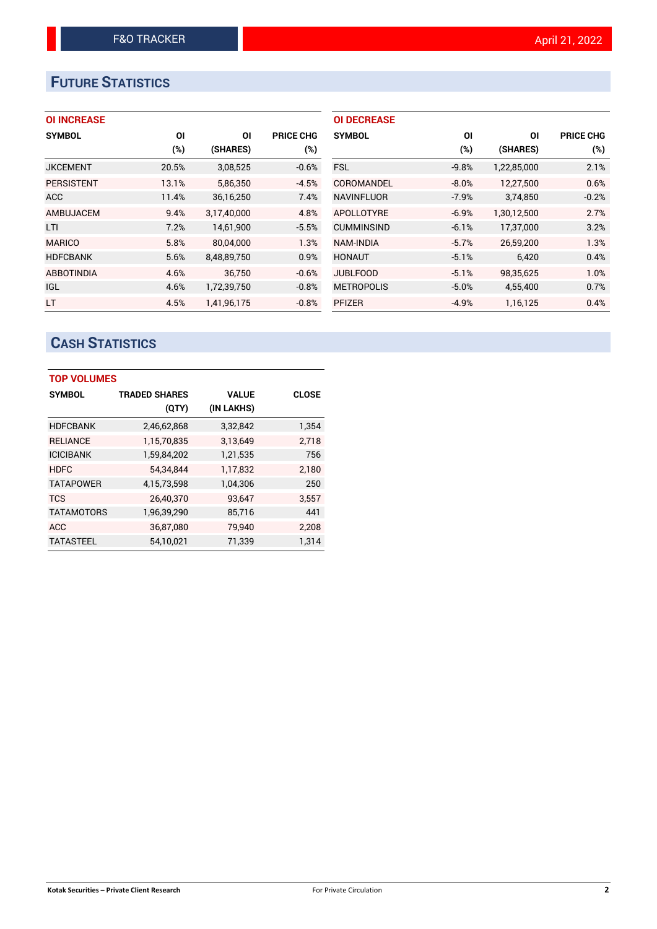# **FUTURE STATISTICS**

### **OI INCREASE**

| <b>SYMBOL</b>     | ΟI    | ΟI          | <b>PRICE CHG</b> |
|-------------------|-------|-------------|------------------|
|                   | (%)   | (SHARES)    | $(\%)$           |
| <b>JKCEMENT</b>   | 20.5% | 3,08,525    | $-0.6%$          |
| <b>PERSISTENT</b> | 13.1% | 5,86,350    | $-4.5%$          |
| <b>ACC</b>        | 11.4% | 36,16,250   | 7.4%             |
| AMBUJACEM         | 9.4%  | 3,17,40,000 | 4.8%             |
| LTI               | 7.2%  | 14,61,900   | $-5.5%$          |
| <b>MARICO</b>     | 5.8%  | 80,04,000   | 1.3%             |
| <b>HDFCBANK</b>   | 5.6%  | 8,48,89,750 | 0.9%             |
| <b>ABBOTINDIA</b> | 4.6%  | 36.750      | $-0.6%$          |
| <b>IGL</b>        | 4.6%  | 1,72,39,750 | $-0.8%$          |
| <b>LT</b>         | 4.5%  | 1.41.96.175 | $-0.8%$          |

| <b>OI DECREASE</b> |         |             |                  |
|--------------------|---------|-------------|------------------|
| <b>SYMBOL</b>      | ΟI      | ΟI          | <b>PRICE CHG</b> |
|                    | (%)     | (SHARES)    | (%)              |
| <b>FSL</b>         | $-9.8%$ | 1,22,85,000 | 2.1%             |
| COROMANDEL         | $-8.0%$ | 12,27,500   | 0.6%             |
| <b>NAVINFLUOR</b>  | $-7.9%$ | 3,74,850    | $-0.2%$          |
| <b>APOLLOTYRE</b>  | $-6.9%$ | 1,30,12,500 | 2.7%             |
| <b>CUMMINSIND</b>  | $-6.1%$ | 17,37,000   | 3.2%             |
| NAM-INDIA          | $-5.7%$ | 26,59,200   | 1.3%             |
| <b>HONAUT</b>      | $-5.1%$ | 6,420       | 0.4%             |
| <b>JUBLFOOD</b>    | $-5.1%$ | 98,35,625   | 1.0%             |
| <b>METROPOLIS</b>  | $-5.0%$ | 4,55,400    | 0.7%             |
| <b>PFIZER</b>      | $-4.9%$ | 1.16.125    | 0.4%             |

# **CASH STATISTICS**

| <b>TOP VOLUMES</b> |                      |              |              |  |  |  |  |  |  |
|--------------------|----------------------|--------------|--------------|--|--|--|--|--|--|
| <b>SYMBOL</b>      | <b>TRADED SHARES</b> | <b>VALUE</b> | <b>CLOSE</b> |  |  |  |  |  |  |
|                    | (QTY)                | (IN LAKHS)   |              |  |  |  |  |  |  |
| <b>HDFCBANK</b>    | 2,46,62,868          | 3,32,842     | 1,354        |  |  |  |  |  |  |
| <b>RELIANCE</b>    | 1,15,70,835          | 3,13,649     | 2,718        |  |  |  |  |  |  |
| <b>ICICIBANK</b>   | 1,59,84,202          | 1,21,535     | 756          |  |  |  |  |  |  |
| <b>HDFC</b>        | 54,34,844            | 1,17,832     | 2,180        |  |  |  |  |  |  |
| <b>TATAPOWER</b>   | 4,15,73,598          | 1,04,306     | 250          |  |  |  |  |  |  |
| <b>TCS</b>         | 26,40,370            | 93,647       | 3,557        |  |  |  |  |  |  |
| <b>TATAMOTORS</b>  | 1,96,39,290          | 85,716       | 441          |  |  |  |  |  |  |
| <b>ACC</b>         | 36,87,080            | 79,940       | 2,208        |  |  |  |  |  |  |
| <b>TATASTEEL</b>   | 54.10.021            | 71.339       | 1.314        |  |  |  |  |  |  |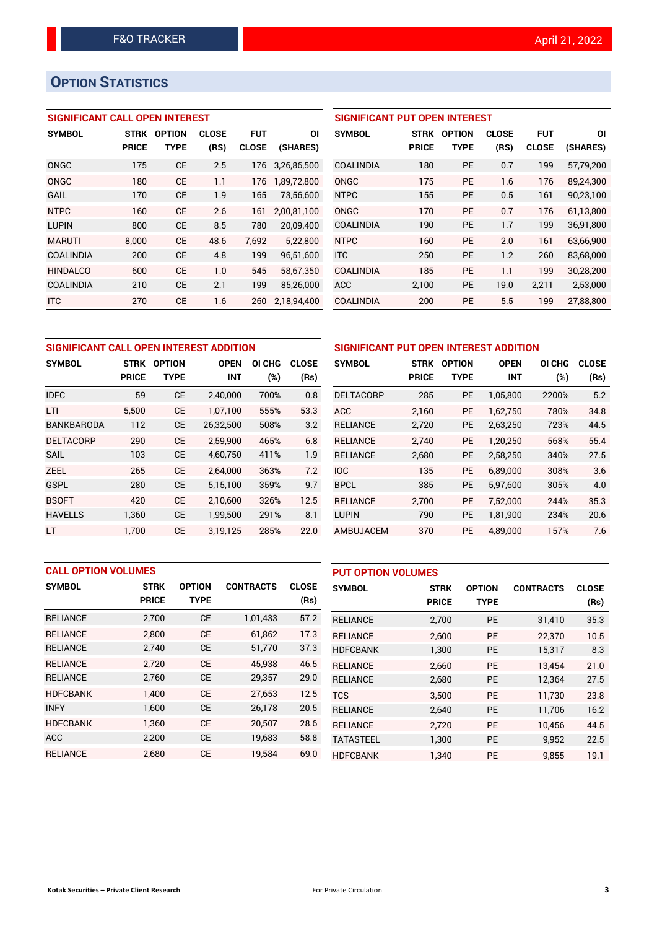# **OPTION STATISTICS**

### **SIGNIFICANT CALL OPEN INTEREST**

| <b>SYMBOL</b>    | <b>STRK</b>  | <b>OPTION</b> | <b>CLOSE</b> | <b>FUT</b>   | ΟI          |
|------------------|--------------|---------------|--------------|--------------|-------------|
|                  | <b>PRICE</b> | TYPE          | (RS)         | <b>CLOSE</b> | (SHARES)    |
| ONGC             | 175          | СE            | 2.5          | 176          | 3.26.86.500 |
| ONGC             | 180          | CF            | 1.1          | 176          | 1,89,72,800 |
| GAIL             | 170          | CE            | 1.9          | 165          | 73,56,600   |
| <b>NTPC</b>      | 160          | CE            | 2.6          | 161          | 2,00,81,100 |
| <b>LUPIN</b>     | 800          | СE            | 8.5          | 780          | 20,09,400   |
| <b>MARUTI</b>    | 8,000        | CE            | 48.6         | 7,692        | 5,22,800    |
| <b>COALINDIA</b> | 200          | CE            | 4.8          | 199          | 96,51,600   |
| <b>HINDALCO</b>  | 600          | CE            | 1.0          | 545          | 58,67,350   |
| <b>COALINDIA</b> | 210          | CE            | 2.1          | 199          | 85,26,000   |
| <b>ITC</b>       | 270          | СE            | 1.6          | 260          | 2,18,94,400 |

| SIGNIFICANT PUT OPEN INTEREST |              |               |              |              |           |  |  |  |  |  |
|-------------------------------|--------------|---------------|--------------|--------------|-----------|--|--|--|--|--|
| <b>SYMBOL</b>                 | <b>STRK</b>  | <b>OPTION</b> | <b>CLOSE</b> | <b>FUT</b>   | ΟI        |  |  |  |  |  |
|                               | <b>PRICE</b> | <b>TYPE</b>   | (RS)         | <b>CLOSE</b> | (SHARES)  |  |  |  |  |  |
| <b>COALINDIA</b>              | 180          | <b>PE</b>     | 0.7          | 199          | 57,79,200 |  |  |  |  |  |
| ONGC                          | 175          | <b>PE</b>     | 1.6          | 176          | 89,24,300 |  |  |  |  |  |
| <b>NTPC</b>                   | 155          | <b>PE</b>     | 0.5          | 161          | 90,23,100 |  |  |  |  |  |
| ONGC                          | 170          | <b>PE</b>     | 0.7          | 176          | 61,13,800 |  |  |  |  |  |
| <b>COALINDIA</b>              | 190          | <b>PE</b>     | 1.7          | 199          | 36,91,800 |  |  |  |  |  |
| <b>NTPC</b>                   | 160          | <b>PE</b>     | 2.0          | 161          | 63,66,900 |  |  |  |  |  |
| <b>ITC</b>                    | 250          | <b>PE</b>     | 1.2          | 260          | 83,68,000 |  |  |  |  |  |
| <b>COALINDIA</b>              | 185          | <b>PE</b>     | 1.1          | 199          | 30,28,200 |  |  |  |  |  |
| ACC                           | 2,100        | <b>PE</b>     | 19.0         | 2,211        | 2,53,000  |  |  |  |  |  |
| <b>COALINDIA</b>              | 200          | <b>PE</b>     | 5.5          | 199          | 27,88,800 |  |  |  |  |  |

| SIGNIFICANT CALL OPEN INTEREST ADDITION |              |               |             |        | SIGNIFICANT PUT OPEN INTEREST ADDITION |                  |              |               |             |        |              |
|-----------------------------------------|--------------|---------------|-------------|--------|----------------------------------------|------------------|--------------|---------------|-------------|--------|--------------|
|                                         |              |               |             |        |                                        |                  |              |               |             |        |              |
| <b>SYMBOL</b>                           | <b>STRK</b>  | <b>OPTION</b> | <b>OPEN</b> | OI CHG | <b>CLOSE</b>                           | <b>SYMBOL</b>    | <b>STRK</b>  | <b>OPTION</b> | <b>OPEN</b> | OI CHG | <b>CLOSE</b> |
|                                         | <b>PRICE</b> | <b>TYPE</b>   | <b>INT</b>  | (%)    | (Rs)                                   |                  | <b>PRICE</b> | <b>TYPE</b>   | <b>INT</b>  | (%)    | (Rs)         |
| <b>IDFC</b>                             | 59           | <b>CE</b>     | 2,40,000    | 700%   | 0.8                                    | <b>DELTACORP</b> | 285          | <b>PE</b>     | 1,05,800    | 2200%  | 5.2          |
| <b>LTI</b>                              | 5.500        | <b>CE</b>     | 1,07,100    | 555%   | 53.3                                   | <b>ACC</b>       | 2.160        | <b>PE</b>     | 1.62.750    | 780%   | 34.8         |
| <b>BANKBARODA</b>                       | 112          | <b>CE</b>     | 26,32,500   | 508%   | 3.2                                    | <b>RELIANCE</b>  | 2,720        | PE            | 2,63,250    | 723%   | 44.5         |
| <b>DELTACORP</b>                        | 290          | <b>CE</b>     | 2.59.900    | 465%   | 6.8                                    | <b>RELIANCE</b>  | 2.740        | <b>PE</b>     | 1.20.250    | 568%   | 55.4         |
| <b>SAIL</b>                             | 103          | <b>CE</b>     | 4,60,750    | 411%   | 1.9                                    | <b>RELIANCE</b>  | 2,680        | PE            | 2,58,250    | 340%   | 27.5         |
| <b>ZEEL</b>                             | 265          | <b>CE</b>     | 2,64,000    | 363%   | 7.2                                    | IOC              | 135          | <b>PE</b>     | 6.89.000    | 308%   | 3.6          |
| <b>GSPL</b>                             | 280          | <b>CE</b>     | 5,15,100    | 359%   | 9.7                                    | <b>BPCL</b>      | 385          | PE            | 5,97,600    | 305%   | 4.0          |
| <b>BSOFT</b>                            | 420          | <b>CE</b>     | 2,10,600    | 326%   | 12.5                                   | <b>RELIANCE</b>  | 2.700        | <b>PE</b>     | 7,52,000    | 244%   | 35.3         |
| <b>HAVELLS</b>                          | 1,360        | <b>CE</b>     | 1,99,500    | 291%   | 8.1                                    | <b>LUPIN</b>     | 790          | <b>PE</b>     | 1,81,900    | 234%   | 20.6         |
| LT                                      | 1.700        | <b>CE</b>     | 3,19,125    | 285%   | 22.0                                   | AMBUJACEM        | 370          | PE            | 4,89,000    | 157%   | 7.6          |

| <b>CALL OPTION VOLUMES</b> |                             |                              |                  |                      | <b>PUT OPTION VOLUMES</b> |                             |                              |                  |                      |
|----------------------------|-----------------------------|------------------------------|------------------|----------------------|---------------------------|-----------------------------|------------------------------|------------------|----------------------|
| <b>SYMBOL</b>              | <b>STRK</b><br><b>PRICE</b> | <b>OPTION</b><br><b>TYPE</b> | <b>CONTRACTS</b> | <b>CLOSE</b><br>(Rs) | <b>SYMBOL</b>             | <b>STRK</b><br><b>PRICE</b> | <b>OPTION</b><br><b>TYPE</b> | <b>CONTRACTS</b> | <b>CLOSE</b><br>(Rs) |
| <b>RELIANCE</b>            | 2,700                       | <b>CE</b>                    | 1,01,433         | 57.2                 | <b>RELIANCE</b>           | 2,700                       | <b>PE</b>                    | 31,410           | 35.3                 |
| <b>RELIANCE</b>            | 2.800                       | <b>CE</b>                    | 61.862           | 17.3                 | <b>RELIANCE</b>           | 2.600                       | <b>PE</b>                    | 22,370           | 10.5                 |
| <b>RELIANCE</b>            | 2,740                       | <b>CE</b>                    | 51,770           | 37.3                 | <b>HDFCBANK</b>           | 1,300                       | <b>PE</b>                    | 15,317           | 8.3                  |
| <b>RELIANCE</b>            | 2.720                       | <b>CE</b>                    | 45.938           | 46.5                 | <b>RELIANCE</b>           | 2,660                       | <b>PE</b>                    | 13,454           | 21.0                 |
| <b>RELIANCE</b>            | 2,760                       | <b>CE</b>                    | 29,357           | 29.0                 | <b>RELIANCE</b>           | 2,680                       | <b>PE</b>                    | 12,364           | 27.5                 |
| <b>HDFCBANK</b>            | 1,400                       | <b>CE</b>                    | 27,653           | 12.5                 | <b>TCS</b>                | 3.500                       | <b>PE</b>                    | 11.730           | 23.8                 |
| <b>INFY</b>                | 1,600                       | <b>CE</b>                    | 26,178           | 20.5                 | <b>RELIANCE</b>           | 2,640                       | <b>PE</b>                    | 11,706           | 16.2                 |
| <b>HDFCBANK</b>            | 1.360                       | <b>CE</b>                    | 20.507           | 28.6                 | <b>RELIANCE</b>           | 2,720                       | <b>PE</b>                    | 10.456           | 44.5                 |
| <b>ACC</b>                 | 2,200                       | <b>CE</b>                    | 19,683           | 58.8                 | <b>TATASTEEL</b>          | 1,300                       | <b>PE</b>                    | 9,952            | 22.5                 |
| <b>RELIANCE</b>            | 2,680                       | <b>CE</b>                    | 19,584           | 69.0                 | <b>HDFCBANK</b>           | 1.340                       | <b>PE</b>                    | 9.855            | 19.1                 |

#### **Kotak Securities – Private Client Research** For Private Circulation **3**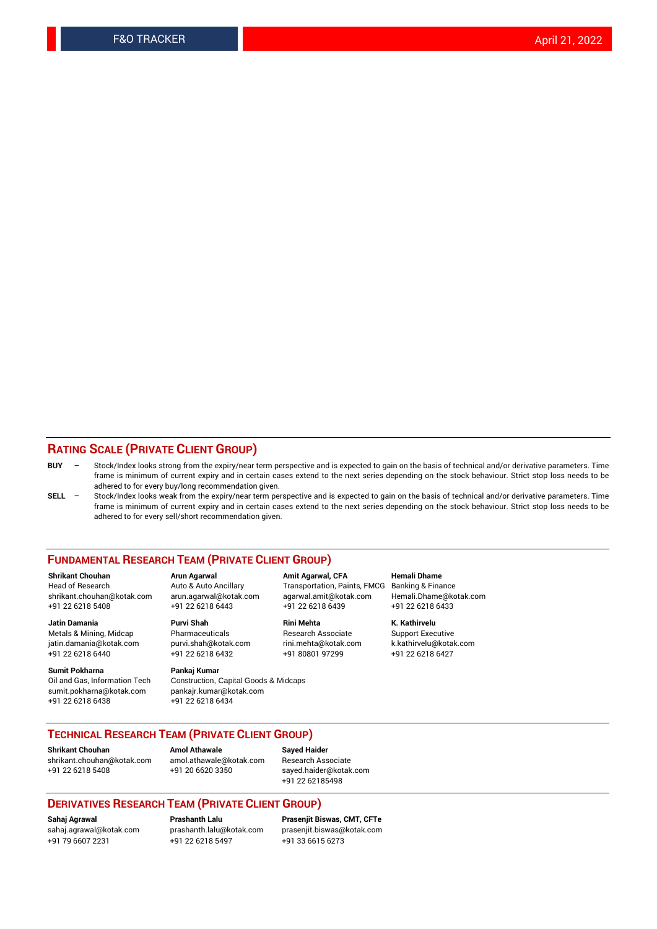#### **RATING SCALE (PRIVATE CLIENT GROUP)**

- **BUY**  Stock/Index looks strong from the expiry/near term perspective and is expected to gain on the basis of technical and/or derivative parameters. Time frame is minimum of current expiry and in certain cases extend to the next series depending on the stock behaviour. Strict stop loss needs to be adhered to for every buy/long recommendation given.
- **SELL** Stock/Index looks weak from the expiry/near term perspective and is expected to gain on the basis of technical and/or derivative parameters. Time frame is minimum of current expiry and in certain cases extend to the next series depending on the stock behaviour. Strict stop loss needs to be adhered to for every sell/short recommendation given.

#### **FUNDAMENTAL RESEARCH TEAM (PRIVATE CLIENT GROUP)**

**Shrikant Chouhan Arun Agarwal Amit Agarwal, CFA Hemali Dhame** shrikant.chouhan@kotak.com arun.agarwal@kotak.com agarwal.amit@kotak.com Hemali.Dhame@kotak.com +91 22 6218 5408 +91 22 6218 6443 +91 22 6218 6439 +91 22 6218 6433

Metals & Mining, Midcap Pharmaceuticals Pharmaceuticals Research Associate Support Executive<br>
iatin.damania@kotak.com purvi.shah@kotak.com rini.mehta@kotak.com k.kathirvelu@kotak.com jatin.damania@kotak.com

**Sumit Pokharna** Pankaj Kumar<br>Oil and Gas, Information Tech Construction, sumit.pokharna@kotak.com pankajr.kumar@kotak.com

Construction, Capital Goods & Midcaps +91 22 6218 6438 +91 22 6218 6434

Transportation, Paints, FMCG

**Jatin Damania Purvi Shah Rini Mehta K. Kathirvelu** +91 22 6218 6440 +91 22 6218 6432 +91 80801 97299 +91 22 6218 6427

#### **TECHNICAL RESEARCH TEAM (PRIVATE CLIENT GROUP)**

**Shrikant Chouhan Amol Athawale Sayed Haider** [shrikant.chouhan@kotak.com](mailto:shrikant.chouhan@kotak.com) [amol.athawale@kotak.com](mailto:amol.athawale@kotak.com) Research Associate +91 22 6218 5408 +91 20 6620 3350 [sayed.haider@kotak.com](mailto:sayed.haider@kotak.com)

+91 22 62185498

#### **DERIVATIVES RESEARCH TEAM (PRIVATE CLIENT GROUP)**

+91 79 6607 2231 +91 22 6218 5497 +91 33 6615 6273

**Sahaj Agrawal Prashanth Lalu Prasenjit Biswas, CMT, CFTe** [prasenjit.biswas@kotak.com](mailto:prasenjit.biswas@kotak.com)